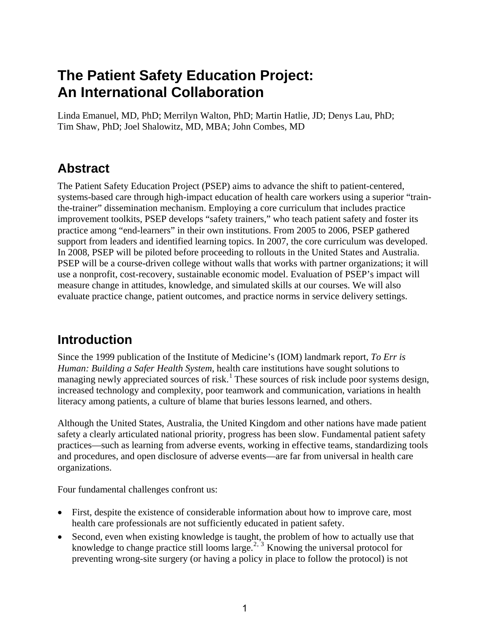# **The Patient Safety Education Project: An International Collaboration**

Linda Emanuel, MD, PhD; Merrilyn Walton, PhD; Martin Hatlie, JD; Denys Lau, PhD; Tim Shaw, PhD; Joel Shalowitz, MD, MBA; John Combes, MD

# **Abstract**

The Patient Safety Education Project (PSEP) aims to advance the shift to patient-centered, systems-based care through high-impact education of health care workers using a superior "trainthe-trainer" dissemination mechanism. Employing a core curriculum that includes practice improvement toolkits, PSEP develops "safety trainers," who teach patient safety and foster its practice among "end-learners" in their own institutions. From 2005 to 2006, PSEP gathered support from leaders and identified learning topics. In 2007, the core curriculum was developed. In 2008, PSEP will be piloted before proceeding to rollouts in the United States and Australia. PSEP will be a course-driven college without walls that works with partner organizations; it will use a nonprofit, cost-recovery, sustainable economic model. Evaluation of PSEP's impact will measure change in attitudes, knowledge, and simulated skills at our courses. We will also evaluate practice change, patient outcomes, and practice norms in service delivery settings.

# **Introduction**

Since the 1999 publication of the Institute of Medicine's (IOM) landmark report, *To Err is Human: Building a Safer Health System*, health care institutions have sought solutions to managing newly appreciated sources of risk.<sup>[1](#page-14-0)</sup> These sources of risk include poor systems design, increased technology and complexity, poor teamwork and communication, variations in health literacy among patients, a culture of blame that buries lessons learned, and others.

Although the United States, Australia, the United Kingdom and other nations have made patient safety a clearly articulated national priority, progress has been slow. Fundamental patient safety practices—such as learning from adverse events, working in effective teams, standardizing tools and procedures, and open disclosure of adverse events—are far from universal in health care organizations.

Four fundamental challenges confront us:

- First, despite the existence of considerable information about how to improve care, most health care professionals are not sufficiently educated in patient safety.
- <span id="page-0-0"></span>• Second, even when existing knowledge is taught, the problem of how to actually use that knowledge to change practice still looms large.<sup>[2](#page-14-1), [3](#page-14-1)</sup> Knowing the universal protocol for preventing wrong-site surgery (or having a policy in place to follow the protocol) is not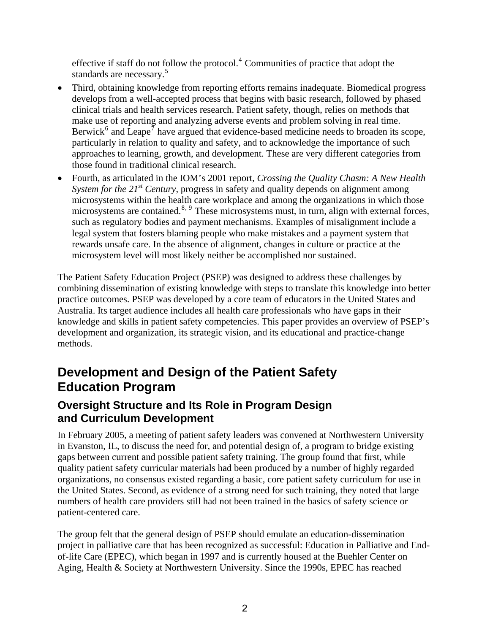effective if staff do not follow the protocol.<sup>4</sup> Communities of practice that adopt the standards are necessary.<sup>5</sup>

- Third, obtaining knowledge from reporting efforts remains inadequate. Biomedical progress develops from a well-accepted process that begins with basic research, followed by phased clinical trials and health services research. Patient safety, though, relies on methods that make use of reporting and analyzing adverse events and problem solving in real time. Berwick<sup>[6](#page-14-1)</sup> and Leape<sup>[7](#page-14-1)</sup> have argued that evidence-based medicine needs to broaden its scope, particularly in relation to quality and safety, and to acknowledge the importance of such approaches to learning, growth, and development. These are very different categories from those found in traditional clinical research.
- Fourth, as articulated in the IOM's 2001 report, *Crossing the Quality Chasm: A New Health System for the 21st Century*, progress in safety and quality depends on alignment among microsystems within the health care workplace and among the organizations in which those microsystems are contained.<sup>[8](#page-14-1), [9](#page-14-1)</sup> These microsystems must, in turn, align with external forces, such as regulatory bodies and payment mechanisms. Examples of misalignment include a legal system that fosters blaming people who make mistakes and a payment system that rewards unsafe care. In the absence of alignment, changes in culture or practice at the microsystem level will most likely neither be accomplished nor sustained.

The Patient Safety Education Project (PSEP) was designed to address these challenges by combining dissemination of existing knowledge with steps to translate this knowledge into better practice outcomes. PSEP was developed by a core team of educators in the United States and Australia. Its target audience includes all health care professionals who have gaps in their knowledge and skills in patient safety competencies. This paper provides an overview of PSEP's development and organization, its strategic vision, and its educational and practice-change methods.

# **Development and Design of the Patient Safety Education Program**

### **Oversight Structure and Its Role in Program Design and Curriculum Development**

In February 2005, a meeting of patient safety leaders was convened at Northwestern University in Evanston, IL, to discuss the need for, and potential design of, a program to bridge existing gaps between current and possible patient safety training. The group found that first, while quality patient safety curricular materials had been produced by a number of highly regarded organizations, no consensus existed regarding a basic, core patient safety curriculum for use in the United States. Second, as evidence of a strong need for such training, they noted that large numbers of health care providers still had not been trained in the basics of safety science or patient-centered care.

The group felt that the general design of PSEP should emulate an education-dissemination project in palliative care that has been recognized as successful: Education in Palliative and Endof-life Care (EPEC), which began in 1997 and is currently housed at the Buehler Center on Aging, Health & Society at Northwestern University. Since the 1990s, EPEC has reached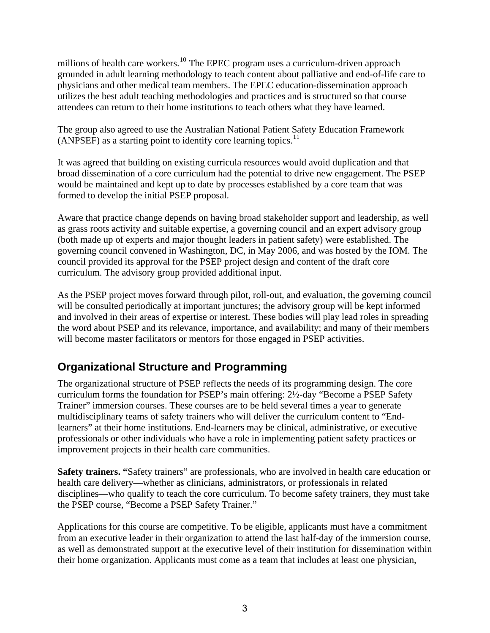<span id="page-2-0"></span>millions of health care workers.<sup>[10](#page-14-1)</sup> The EPEC program uses a curriculum-driven approach grounded in adult learning methodology to teach content about palliative and end-of-life care to physicians and other medical team members. The EPEC education-dissemination approach utilizes the best adult teaching methodologies and practices and is structured so that course attendees can return to their home institutions to teach others what they have learned.

<span id="page-2-1"></span>The group also agreed to use the Australian National Patient Safety Education Framework  $(ANPSEF)$  as a starting point to identify core learning topics.<sup>[11](#page-14-1)</sup>

It was agreed that building on existing curricula resources would avoid duplication and that broad dissemination of a core curriculum had the potential to drive new engagement. The PSEP would be maintained and kept up to date by processes established by a core team that was formed to develop the initial PSEP proposal.

Aware that practice change depends on having broad stakeholder support and leadership, as well as grass roots activity and suitable expertise, a governing council and an expert advisory group (both made up of experts and major thought leaders in patient safety) were established. The governing council convened in Washington, DC, in May 2006, and was hosted by the IOM. The council provided its approval for the PSEP project design and content of the draft core curriculum. The advisory group provided additional input.

As the PSEP project moves forward through pilot, roll-out, and evaluation, the governing council will be consulted periodically at important junctures; the advisory group will be kept informed and involved in their areas of expertise or interest. These bodies will play lead roles in spreading the word about PSEP and its relevance, importance, and availability; and many of their members will become master facilitators or mentors for those engaged in PSEP activities.

## **Organizational Structure and Programming**

The organizational structure of PSEP reflects the needs of its programming design. The core curriculum forms the foundation for PSEP's main offering: 2½-day "Become a PSEP Safety Trainer" immersion courses. These courses are to be held several times a year to generate multidisciplinary teams of safety trainers who will deliver the curriculum content to "Endlearners" at their home institutions. End-learners may be clinical, administrative, or executive professionals or other individuals who have a role in implementing patient safety practices or improvement projects in their health care communities.

**Safety trainers. "**Safety trainers" are professionals, who are involved in health care education or health care delivery—whether as clinicians, administrators, or professionals in related disciplines—who qualify to teach the core curriculum. To become safety trainers, they must take the PSEP course, "Become a PSEP Safety Trainer."

Applications for this course are competitive. To be eligible, applicants must have a commitment from an executive leader in their organization to attend the last half-day of the immersion course, as well as demonstrated support at the executive level of their institution for dissemination within their home organization. Applicants must come as a team that includes at least one physician,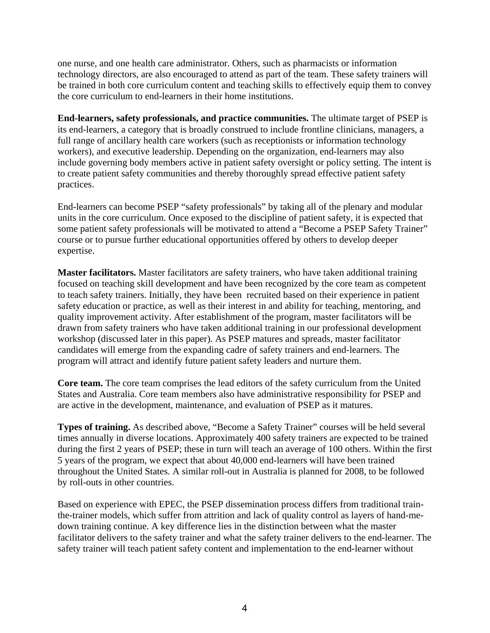one nurse, and one health care administrator. Others, such as pharmacists or information technology directors, are also encouraged to attend as part of the team. These safety trainers will be trained in both core curriculum content and teaching skills to effectively equip them to convey the core curriculum to end-learners in their home institutions.

**End-learners, safety professionals, and practice communities.** The ultimate target of PSEP is its end-learners, a category that is broadly construed to include frontline clinicians, managers, a full range of ancillary health care workers (such as receptionists or information technology workers), and executive leadership. Depending on the organization, end-learners may also include governing body members active in patient safety oversight or policy setting. The intent is to create patient safety communities and thereby thoroughly spread effective patient safety practices.

End-learners can become PSEP "safety professionals" by taking all of the plenary and modular units in the core curriculum. Once exposed to the discipline of patient safety, it is expected that some patient safety professionals will be motivated to attend a "Become a PSEP Safety Trainer" course or to pursue further educational opportunities offered by others to develop deeper expertise.

**Master facilitators.** Master facilitators are safety trainers, who have taken additional training focused on teaching skill development and have been recognized by the core team as competent to teach safety trainers. Initially, they have been recruited based on their experience in patient safety education or practice, as well as their interest in and ability for teaching, mentoring, and quality improvement activity. After establishment of the program, master facilitators will be drawn from safety trainers who have taken additional training in our professional development workshop (discussed later in this paper). As PSEP matures and spreads, master facilitator candidates will emerge from the expanding cadre of safety trainers and end-learners. The program will attract and identify future patient safety leaders and nurture them.

**Core team.** The core team comprises the lead editors of the safety curriculum from the United States and Australia. Core team members also have administrative responsibility for PSEP and are active in the development, maintenance, and evaluation of PSEP as it matures.

**Types of training.** As described above, "Become a Safety Trainer" courses will be held several times annually in diverse locations. Approximately 400 safety trainers are expected to be trained during the first 2 years of PSEP; these in turn will teach an average of 100 others. Within the first 5 years of the program, we expect that about 40,000 end-learners will have been trained throughout the United States. A similar roll-out in Australia is planned for 2008, to be followed by roll-outs in other countries.

Based on experience with EPEC, the PSEP dissemination process differs from traditional trainthe-trainer models, which suffer from attrition and lack of quality control as layers of hand-medown training continue. A key difference lies in the distinction between what the master facilitator delivers to the safety trainer and what the safety trainer delivers to the end-learner. The safety trainer will teach patient safety content and implementation to the end-learner without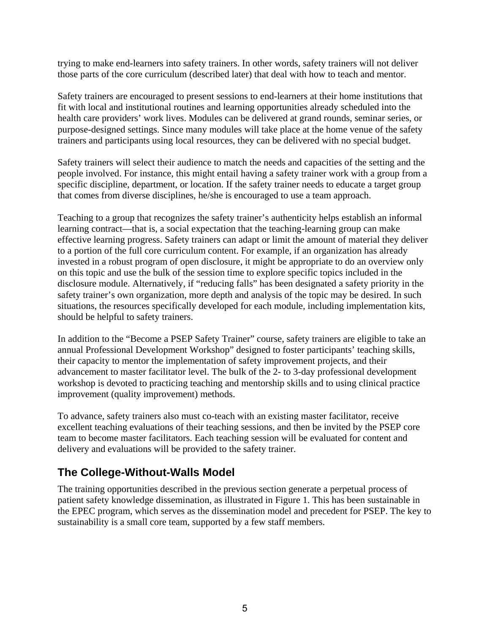trying to make end-learners into safety trainers. In other words, safety trainers will not deliver those parts of the core curriculum (described later) that deal with how to teach and mentor.

Safety trainers are encouraged to present sessions to end-learners at their home institutions that fit with local and institutional routines and learning opportunities already scheduled into the health care providers' work lives. Modules can be delivered at grand rounds, seminar series, or purpose-designed settings. Since many modules will take place at the home venue of the safety trainers and participants using local resources, they can be delivered with no special budget.

Safety trainers will select their audience to match the needs and capacities of the setting and the people involved. For instance, this might entail having a safety trainer work with a group from a specific discipline, department, or location. If the safety trainer needs to educate a target group that comes from diverse disciplines, he/she is encouraged to use a team approach.

Teaching to a group that recognizes the safety trainer's authenticity helps establish an informal learning contract—that is, a social expectation that the teaching-learning group can make effective learning progress. Safety trainers can adapt or limit the amount of material they deliver to a portion of the full core curriculum content. For example, if an organization has already invested in a robust program of open disclosure, it might be appropriate to do an overview only on this topic and use the bulk of the session time to explore specific topics included in the disclosure module. Alternatively, if "reducing falls" has been designated a safety priority in the safety trainer's own organization, more depth and analysis of the topic may be desired. In such situations, the resources specifically developed for each module, including implementation kits, should be helpful to safety trainers.

In addition to the "Become a PSEP Safety Trainer" course, safety trainers are eligible to take an annual Professional Development Workshop" designed to foster participants' teaching skills, their capacity to mentor the implementation of safety improvement projects, and their advancement to master facilitator level. The bulk of the 2- to 3-day professional development workshop is devoted to practicing teaching and mentorship skills and to using clinical practice improvement (quality improvement) methods.

To advance, safety trainers also must co-teach with an existing master facilitator, receive excellent teaching evaluations of their teaching sessions, and then be invited by the PSEP core team to become master facilitators. Each teaching session will be evaluated for content and delivery and evaluations will be provided to the safety trainer.

## **The College-Without-Walls Model**

The training opportunities described in the previous section generate a perpetual process of patient safety knowledge dissemination, as illustrated in Figure 1. This has been sustainable in the EPEC program, which serves as the dissemination model and precedent for PSEP. The key to sustainability is a small core team, supported by a few staff members.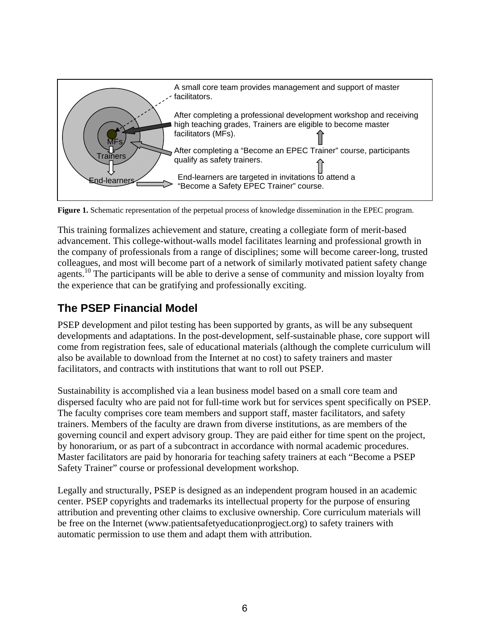

**Figure 1.** Schematic representation of the perpetual process of knowledge dissemination in the EPEC program.

This training formalizes achievement and stature, creating a collegiate form of merit-based advancement. This college-without-walls model facilitates learning and professional growth in the company of professionals from a range of disciplines; some will become career-long, trusted colleagues, and most will become part of a network of similarly motivated patient safety change agents.<sup>10</sup> The participants will be able to derive a sense of community and mission loyalty from the experience that can be gratifying and professionally exciting.

# **The PSEP Financial Model**

PSEP development and pilot testing has been supported by grants, as will be any subsequent developments and adaptations. In the post-development, self-sustainable phase, core support will come from registration fees, sale of educational materials (although the complete curriculum will also be available to download from the Internet at no cost) to safety trainers and master facilitators, and contracts with institutions that want to roll out PSEP.

Sustainability is accomplished via a lean business model based on a small core team and dispersed faculty who are paid not for full-time work but for services spent specifically on PSEP. The faculty comprises core team members and support staff, master facilitators, and safety trainers. Members of the faculty are drawn from diverse institutions, as are members of the governing council and expert advisory group. They are paid either for time spent on the project, by honorarium, or as part of a subcontract in accordance with normal academic procedures. Master facilitators are paid by honoraria for teaching safety trainers at each "Become a PSEP Safety Trainer" course or professional development workshop.

Legally and structurally, PSEP is designed as an independent program housed in an academic center. PSEP copyrights and trademarks its intellectual property for the purpose of ensuring attribution and preventing other claims to exclusive ownership. Core curriculum materials will be free on the Internet ([www.patientsafetyeducationprogject.org](http://www.patientsafetyeducationprogject.org/)) to safety trainers with automatic permission to use them and adapt them with attribution.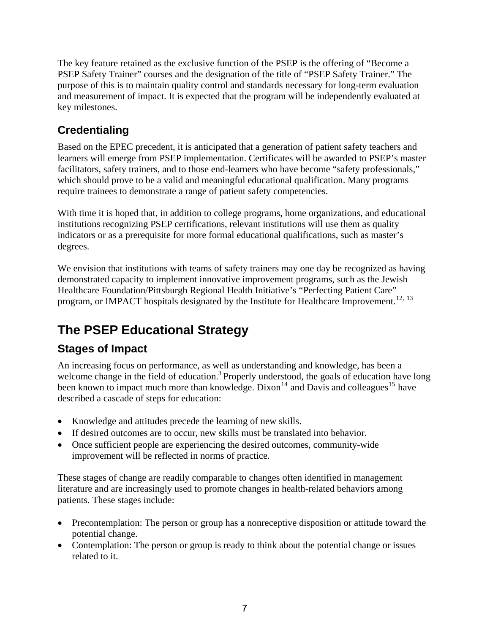The key feature retained as the exclusive function of the PSEP is the offering of "Become a PSEP Safety Trainer" courses and the designation of the title of "PSEP Safety Trainer." The purpose of this is to maintain quality control and standards necessary for long-term evaluation and measurement of impact. It is expected that the program will be independently evaluated at key milestones.

# **Credentialing**

Based on the EPEC precedent, it is anticipated that a generation of patient safety teachers and learners will emerge from PSEP implementation. Certificates will be awarded to PSEP's master facilitators, safety trainers, and to those end-learners who have become "safety professionals," which should prove to be a valid and meaningful educational qualification. Many programs require trainees to demonstrate a range of patient safety competencies.

With time it is hoped that, in addition to college programs, home organizations, and educational institutions recognizing PSEP certifications, relevant institutions will use them as quality indicators or as a prerequisite for more formal educational qualifications, such as master's degrees.

We envision that institutions with teams of safety trainers may one day be recognized as having demonstrated capacity to implement innovative improvement programs, such as the Jewish Healthcare Foundation/Pittsburgh Regional Health Initiative's "Perfecting Patient Care" program, or IMPACT hospitals designated by the Institute for Healthcare Improvement.<sup>[12](#page-14-1), [13](#page-14-1)</sup>

# **The PSEP Educational Strategy**

# **Stages of Impact**

An increasing focus on performance, as well as understanding and knowledge, has been a welcome change in the field of education.<sup>3</sup> Properly understood, the goals of education have long been known to impact much more than knowledge. Dixon<sup>[14](#page-14-1)</sup> and Davis and colleagues<sup>[15](#page-14-1)</sup> have described a cascade of steps for education:

- Knowledge and attitudes precede the learning of new skills.
- If desired outcomes are to occur, new skills must be translated into behavior.
- Once sufficient people are experiencing the desired outcomes, community-wide improvement will be reflected in norms of practice.

These stages of change are readily comparable to changes often identified in management literature and are increasingly used to promote changes in health-related behaviors among patients. These stages include:

- Precontemplation: The person or group has a nonreceptive disposition or attitude toward the potential change.
- Contemplation: The person or group is ready to think about the potential change or issues related to it.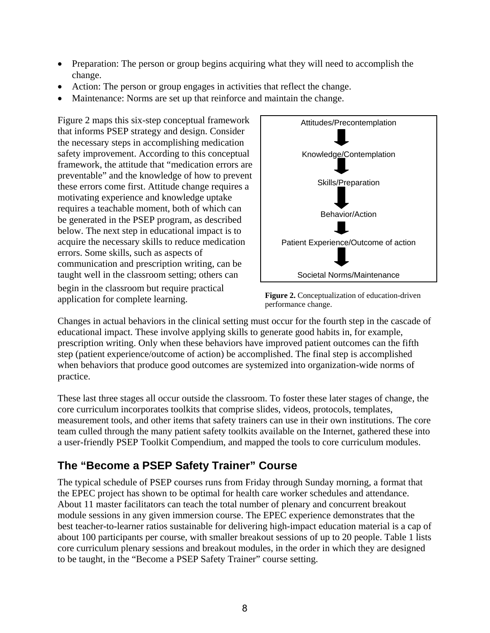- Preparation: The person or group begins acquiring what they will need to accomplish the change.
- Action: The person or group engages in activities that reflect the change.
- Maintenance: Norms are set up that reinforce and maintain the change.

Figure 2 maps this six-step conceptual framework that informs PSEP strategy and design. Consider the necessary steps in accomplishing medication safety improvement. According to this conceptual framework, the attitude that "medication errors are preventable" and the knowledge of how to prevent these errors come first. Attitude change requires a motivating experience and knowledge uptake requires a teachable moment, both of which can be generated in the PSEP program, as described below. The next step in educational impact is to acquire the necessary skills to reduce medication errors. Some skills, such as aspects of communication and prescription writing, can be taught well in the classroom setting; others can begin in the classroom but require practical application for complete learning.



**Figure 2.** Conceptualization of education-driven performance change.

Changes in actual behaviors in the clinical setting must occur for the fourth step in the cascade of educational impact. These involve applying skills to generate good habits in, for example, prescription writing. Only when these behaviors have improved patient outcomes can the fifth step (patient experience/outcome of action) be accomplished. The final step is accomplished when behaviors that produce good outcomes are systemized into organization-wide norms of practice.

These last three stages all occur outside the classroom. To foster these later stages of change, the core curriculum incorporates toolkits that comprise slides, videos, protocols, templates, measurement tools, and other items that safety trainers can use in their own institutions. The core team culled through the many patient safety toolkits available on the Internet, gathered these into a user-friendly PSEP Toolkit Compendium, and mapped the tools to core curriculum modules.

# **The "Become a PSEP Safety Trainer" Course**

The typical schedule of PSEP courses runs from Friday through Sunday morning, a format that the EPEC project has shown to be optimal for health care worker schedules and attendance. About 11 master facilitators can teach the total number of plenary and concurrent breakout module sessions in any given immersion course. The EPEC experience demonstrates that the best teacher-to-learner ratios sustainable for delivering high-impact education material is a cap of about 100 participants per course, with smaller breakout sessions of up to 20 people. Table 1 lists core curriculum plenary sessions and breakout modules, in the order in which they are designed to be taught, in the "Become a PSEP Safety Trainer" course setting.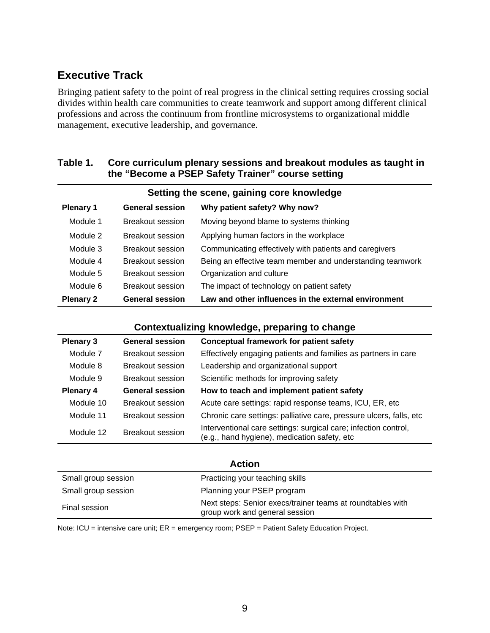## **Executive Track**

Bringing patient safety to the point of real progress in the clinical setting requires crossing social divides within health care communities to create teamwork and support among different clinical professions and across the continuum from frontline microsystems to organizational middle management, executive leadership, and governance.

#### **Table 1. Core curriculum plenary sessions and breakout modules as taught in the "Become a PSEP Safety Trainer" course setting**

| Setting the scene, gaining core knowledge |                         |                                                           |  |
|-------------------------------------------|-------------------------|-----------------------------------------------------------|--|
| <b>Plenary 1</b>                          | <b>General session</b>  | Why patient safety? Why now?                              |  |
| Module 1                                  | Breakout session        | Moving beyond blame to systems thinking                   |  |
| Module 2                                  | Breakout session        | Applying human factors in the workplace                   |  |
| Module 3                                  | Breakout session        | Communicating effectively with patients and caregivers    |  |
| Module 4                                  | Breakout session        | Being an effective team member and understanding teamwork |  |
| Module 5                                  | <b>Breakout session</b> | Organization and culture                                  |  |
| Module 6                                  | Breakout session        | The impact of technology on patient safety                |  |
| <b>Plenary 2</b>                          | <b>General session</b>  | Law and other influences in the external environment      |  |

#### **Contextualizing knowledge, preparing to change**

| <b>Plenary 3</b> | <b>General session</b> | <b>Conceptual framework for patient safety</b>                                                                  |
|------------------|------------------------|-----------------------------------------------------------------------------------------------------------------|
| Module 7         | Breakout session       | Effectively engaging patients and families as partners in care                                                  |
| Module 8         | Breakout session       | Leadership and organizational support                                                                           |
| Module 9         | Breakout session       | Scientific methods for improving safety                                                                         |
| <b>Plenary 4</b> | <b>General session</b> | How to teach and implement patient safety                                                                       |
| Module 10        | Breakout session       | Acute care settings: rapid response teams, ICU, ER, etc.                                                        |
| Module 11        | Breakout session       | Chronic care settings: palliative care, pressure ulcers, falls, etc.                                            |
| Module 12        | Breakout session       | Interventional care settings: surgical care; infection control,<br>(e.g., hand hygiene), medication safety, etc |

#### **Action**

| Small group session | Practicing your teaching skills                                                              |
|---------------------|----------------------------------------------------------------------------------------------|
| Small group session | Planning your PSEP program                                                                   |
| Final session       | Next steps: Senior execs/trainer teams at roundtables with<br>group work and general session |

Note: ICU = intensive care unit; ER = emergency room; PSEP = Patient Safety Education Project.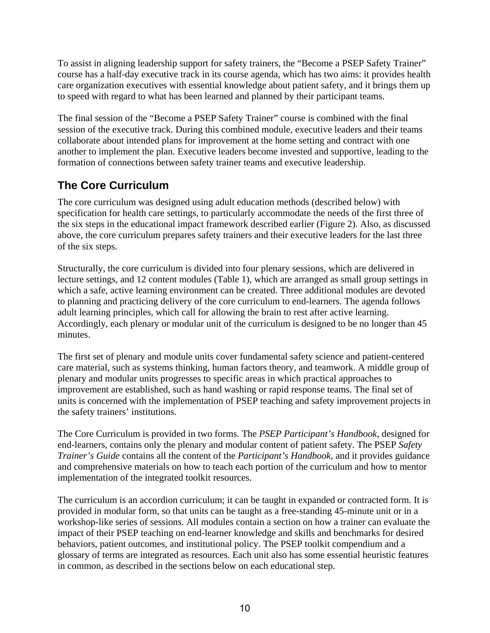To assist in aligning leadership support for safety trainers, the "Become a PSEP Safety Trainer" course has a half-day executive track in its course agenda, which has two aims: it provides health care organization executives with essential knowledge about patient safety, and it brings them up to speed with regard to what has been learned and planned by their participant teams.

The final session of the "Become a PSEP Safety Trainer" course is combined with the final session of the executive track. During this combined module, executive leaders and their teams collaborate about intended plans for improvement at the home setting and contract with one another to implement the plan. Executive leaders become invested and supportive, leading to the formation of connections between safety trainer teams and executive leadership.

# **The Core Curriculum**

The core curriculum was designed using adult education methods (described below) with specification for health care settings, to particularly accommodate the needs of the first three of the six steps in the educational impact framework described earlier (Figure 2). Also, as discussed above, the core curriculum prepares safety trainers and their executive leaders for the last three of the six steps.

Structurally, the core curriculum is divided into four plenary sessions, which are delivered in lecture settings, and 12 content modules (Table 1), which are arranged as small group settings in which a safe, active learning environment can be created. Three additional modules are devoted to planning and practicing delivery of the core curriculum to end-learners. The agenda follows adult learning principles, which call for allowing the brain to rest after active learning. Accordingly, each plenary or modular unit of the curriculum is designed to be no longer than 45 minutes.

The first set of plenary and module units cover fundamental safety science and patient-centered care material, such as systems thinking, human factors theory, and teamwork. A middle group of plenary and modular units progresses to specific areas in which practical approaches to improvement are established, such as hand washing or rapid response teams. The final set of units is concerned with the implementation of PSEP teaching and safety improvement projects in the safety trainers' institutions.

The Core Curriculum is provided in two forms. The *PSEP Participant's Handbook*, designed for end-learners, contains only the plenary and modular content of patient safety. The PSEP *Safety Trainer's Guide* contains all the content of the *Participant's Handbook*, and it provides guidance and comprehensive materials on how to teach each portion of the curriculum and how to mentor implementation of the integrated toolkit resources.

The curriculum is an accordion curriculum; it can be taught in expanded or contracted form. It is provided in modular form, so that units can be taught as a free-standing 45-minute unit or in a workshop-like series of sessions. All modules contain a section on how a trainer can evaluate the impact of their PSEP teaching on end-learner knowledge and skills and benchmarks for desired behaviors, patient outcomes, and institutional policy. The PSEP toolkit compendium and a glossary of terms are integrated as resources. Each unit also has some essential heuristic features in common, as described in the sections below on each educational step.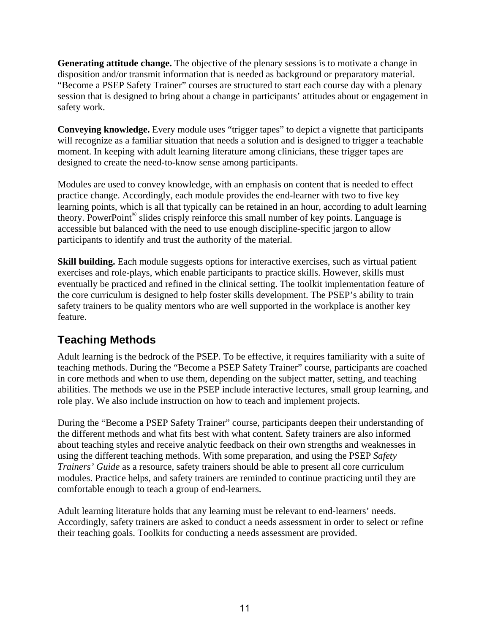**Generating attitude change.** The objective of the plenary sessions is to motivate a change in disposition and/or transmit information that is needed as background or preparatory material. "Become a PSEP Safety Trainer" courses are structured to start each course day with a plenary session that is designed to bring about a change in participants' attitudes about or engagement in safety work.

**Conveying knowledge.** Every module uses "trigger tapes" to depict a vignette that participants will recognize as a familiar situation that needs a solution and is designed to trigger a teachable moment. In keeping with adult learning literature among clinicians, these trigger tapes are designed to create the need-to-know sense among participants.

Modules are used to convey knowledge, with an emphasis on content that is needed to effect practice change. Accordingly, each module provides the end-learner with two to five key learning points, which is all that typically can be retained in an hour, according to adult learning theory. PowerPoint® slides crisply reinforce this small number of key points. Language is accessible but balanced with the need to use enough discipline-specific jargon to allow participants to identify and trust the authority of the material.

**Skill building.** Each module suggests options for interactive exercises, such as virtual patient exercises and role-plays, which enable participants to practice skills. However, skills must eventually be practiced and refined in the clinical setting. The toolkit implementation feature of the core curriculum is designed to help foster skills development. The PSEP's ability to train safety trainers to be quality mentors who are well supported in the workplace is another key feature.

# **Teaching Methods**

Adult learning is the bedrock of the PSEP. To be effective, it requires familiarity with a suite of teaching methods. During the "Become a PSEP Safety Trainer" course, participants are coached in core methods and when to use them, depending on the subject matter, setting, and teaching abilities. The methods we use in the PSEP include interactive lectures, small group learning, and role play. We also include instruction on how to teach and implement projects.

During the "Become a PSEP Safety Trainer" course, participants deepen their understanding of the different methods and what fits best with what content. Safety trainers are also informed about teaching styles and receive analytic feedback on their own strengths and weaknesses in using the different teaching methods. With some preparation, and using the PSEP *Safety Trainers' Guide* as a resource, safety trainers should be able to present all core curriculum modules. Practice helps, and safety trainers are reminded to continue practicing until they are comfortable enough to teach a group of end-learners.

Adult learning literature holds that any learning must be relevant to end-learners' needs. Accordingly, safety trainers are asked to conduct a needs assessment in order to select or refine their teaching goals. Toolkits for conducting a needs assessment are provided.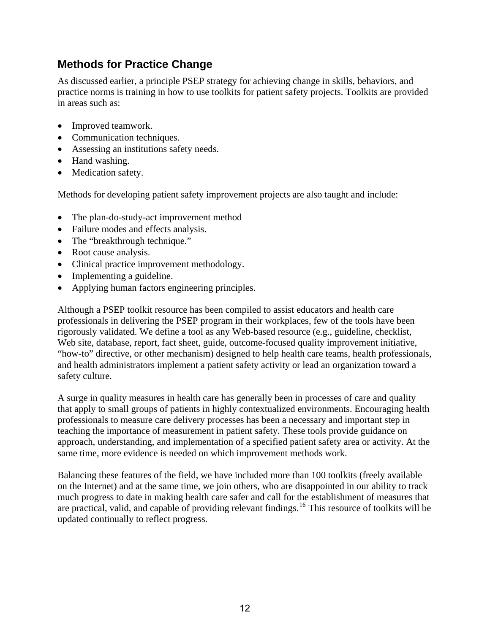### **Methods for Practice Change**

As discussed earlier, a principle PSEP strategy for achieving change in skills, behaviors, and practice norms is training in how to use toolkits for patient safety projects. Toolkits are provided in areas such as:

- Improved teamwork.
- Communication techniques.
- Assessing an institutions safety needs.
- Hand washing.
- Medication safety.

Methods for developing patient safety improvement projects are also taught and include:

- The plan-do-study-act improvement method
- Failure modes and effects analysis.
- The "breakthrough technique."
- Root cause analysis.
- Clinical practice improvement methodology.
- Implementing a guideline.
- Applying human factors engineering principles.

Although a PSEP toolkit resource has been compiled to assist educators and health care professionals in delivering the PSEP program in their workplaces, few of the tools have been rigorously validated. We define a tool as any Web-based resource (e.g., guideline, checklist, Web site, database, report, fact sheet, guide, outcome-focused quality improvement initiative, "how-to" directive, or other mechanism) designed to help health care teams, health professionals, and health administrators implement a patient safety activity or lead an organization toward a safety culture.

A surge in quality measures in health care has generally been in processes of care and quality that apply to small groups of patients in highly contextualized environments. Encouraging health professionals to measure care delivery processes has been a necessary and important step in teaching the importance of measurement in patient safety. These tools provide guidance on approach, understanding, and implementation of a specified patient safety area or activity. At the same time, more evidence is needed on which improvement methods work.

Balancing these features of the field, we have included more than 100 toolkits (freely available on the Internet) and at the same time, we join others, who are disappointed in our ability to track much progress to date in making health care safer and call for the establishment of measures that are practical, valid, and capable of providing relevant findings.[16](#page-14-1) This resource of toolkits will be updated continually to reflect progress.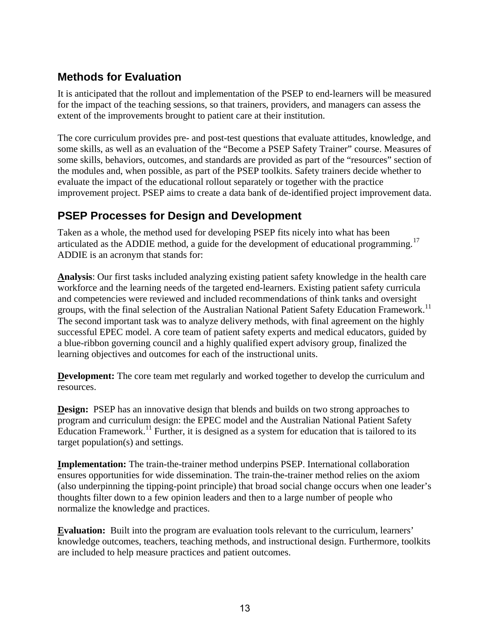### **Methods for Evaluation**

It is anticipated that the rollout and implementation of the PSEP to end-learners will be measured for the impact of the teaching sessions, so that trainers, providers, and managers can assess the extent of the improvements brought to patient care at their institution.

The core curriculum provides pre- and post-test questions that evaluate attitudes, knowledge, and some skills, as well as an evaluation of the "Become a PSEP Safety Trainer" course. Measures of some skills, behaviors, outcomes, and standards are provided as part of the "resources" section of the modules and, when possible, as part of the PSEP toolkits. Safety trainers decide whether to evaluate the impact of the educational rollout separately or together with the practice improvement project. PSEP aims to create a data bank of de-identified project improvement data.

### **PSEP Processes for Design and Development**

Taken as a whole, the method used for developing PSEP fits nicely into what has been articulated as the ADDIE method, a guide for the development of educational programming.<sup>[17](#page-14-1)</sup> ADDIE is an acronym that stands for:

**Analysis**: Our first tasks included analyzing existing patient safety knowledge in the health care workforce and the learning needs of the targeted end-learners. Existing patient safety curricula and competencies were reviewed and included recommendations of think tanks and oversight groups, with the final selection of the Australian National Patient Safety Education Framework.<sup>[11](#page-2-1)</sup> The second important task was to analyze delivery methods, with final agreement on the highly successful EPEC model. A core team of patient safety experts and medical educators, guided by a blue-ribbon governing council and a highly qualified expert advisory group, finalized the learning objectives and outcomes for each of the instructional units.

**Development:** The core team met regularly and worked together to develop the curriculum and resources.

**Design:** PSEP has an innovative design that blends and builds on two strong approaches to program and curriculum design: the EPEC model and the Australian National Patient Safety Education Framework.[11](#page-2-1) Further, it is designed as a system for education that is tailored to its target population(s) and settings.

**Implementation:** The train-the-trainer method underpins PSEP. International collaboration ensures opportunities for wide dissemination. The train-the-trainer method relies on the axiom (also underpinning the tipping-point principle) that broad social change occurs when one leader's thoughts filter down to a few opinion leaders and then to a large number of people who normalize the knowledge and practices.

**Evaluation:** Built into the program are evaluation tools relevant to the curriculum, learners' knowledge outcomes, teachers, teaching methods, and instructional design. Furthermore, toolkits are included to help measure practices and patient outcomes.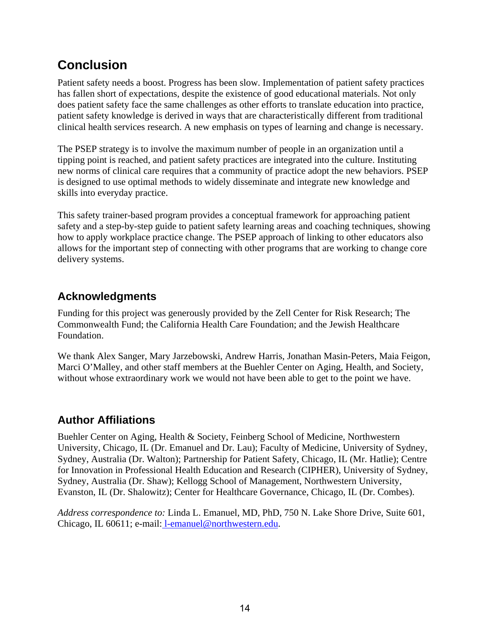# **Conclusion**

Patient safety needs a boost. Progress has been slow. Implementation of patient safety practices has fallen short of expectations, despite the existence of good educational materials. Not only does patient safety face the same challenges as other efforts to translate education into practice, patient safety knowledge is derived in ways that are characteristically different from traditional clinical health services research. A new emphasis on types of learning and change is necessary.

The PSEP strategy is to involve the maximum number of people in an organization until a tipping point is reached, and patient safety practices are integrated into the culture. Instituting new norms of clinical care requires that a community of practice adopt the new behaviors. PSEP is designed to use optimal methods to widely disseminate and integrate new knowledge and skills into everyday practice.

This safety trainer-based program provides a conceptual framework for approaching patient safety and a step-by-step guide to patient safety learning areas and coaching techniques, showing how to apply workplace practice change. The PSEP approach of linking to other educators also allows for the important step of connecting with other programs that are working to change core delivery systems.

## **Acknowledgments**

Funding for this project was generously provided by the Zell Center for Risk Research; The Commonwealth Fund; the California Health Care Foundation; and the Jewish Healthcare Foundation.

We thank Alex Sanger, Mary Jarzebowski, Andrew Harris, Jonathan Masin-Peters, Maia Feigon, Marci O'Malley, and other staff members at the Buehler Center on Aging, Health, and Society, without whose extraordinary work we would not have been able to get to the point we have.

### **Author Affiliations**

Buehler Center on Aging, Health & Society, Feinberg School of Medicine, Northwestern University, Chicago, IL (Dr. Emanuel and Dr. Lau); Faculty of Medicine, University of Sydney, Sydney, Australia (Dr. Walton); Partnership for Patient Safety, Chicago, IL (Mr. Hatlie); Centre for Innovation in Professional Health Education and Research (CIPHER), University of Sydney, Sydney, Australia (Dr. Shaw); Kellogg School of Management, Northwestern University, Evanston, IL (Dr. Shalowitz); Center for Healthcare Governance, Chicago, IL (Dr. Combes).

*Address correspondence to:* Linda L. Emanuel, MD, PhD, 750 N. Lake Shore Drive, Suite 601, Chicago, IL 60611; e-mail: [l-emanuel@northwestern.edu.](mailto:%20l-emanuel@northwestern.edu)